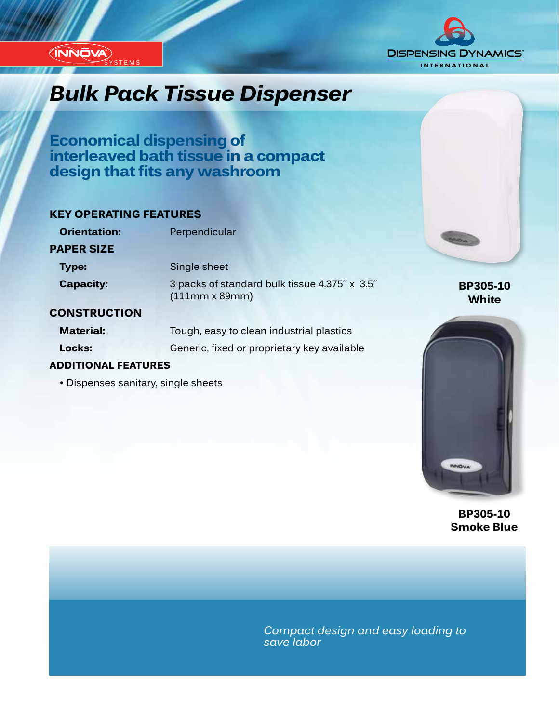

## *Innovation...Design...Solutions Bulk Pack Tissue Dispenser*

**Economical dispensing of interleaved bath tissue in a compact design that fits any washroom**

### **KEY OPERATING FEATURES**

| <b>Orientation:</b> | Perpendicular                                                          |
|---------------------|------------------------------------------------------------------------|
| <b>PAPER SIZE</b>   |                                                                        |
| <b>Type:</b>        | Single sheet                                                           |
| <b>Capacity:</b>    | 3 packs of standard bulk tissue 4.375" x 3.5"<br>$(111mm \times 89mm)$ |
| <b>CONSTRUCTION</b> |                                                                        |

#### **CONSTRUCTION**

INNOVA SYSTEMS

| <b>Material:</b> | Tough, easy to clean industrial plastics    |  |  |  |  |
|------------------|---------------------------------------------|--|--|--|--|
| Locks:           | Generic, fixed or proprietary key available |  |  |  |  |

#### **ADDITIONAL FEATURES**

• Dispenses sanitary, single sheets



**BP305-10**

**BP305-10 Smoke Blue**

*Compact design and easy loading to save labor*